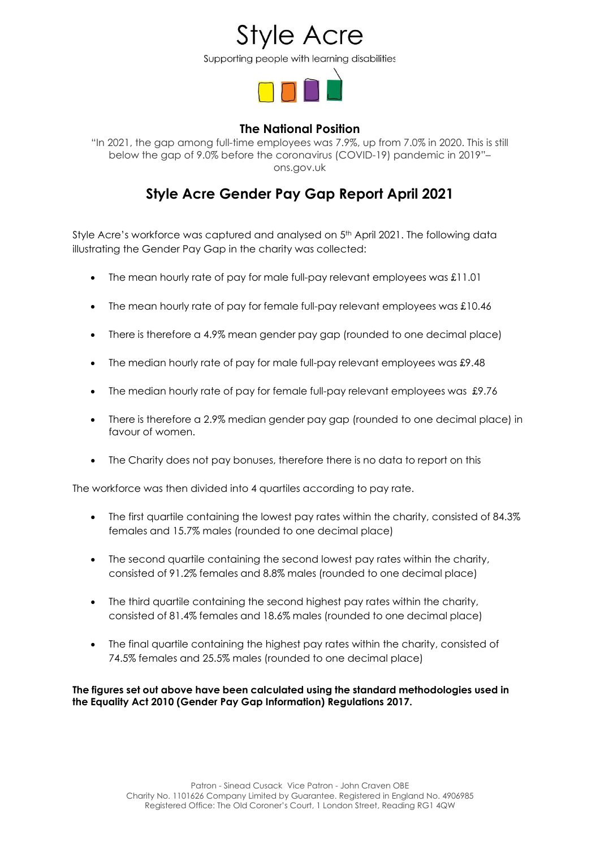Supporting people with learning disabilities



## **The National Position**

"In 2021, the gap among full-time employees was 7.9%, up from 7.0% in 2020. This is still below the gap of 9.0% before the coronavirus (COVID-19) pandemic in 2019"– ons.gov.uk

## **Style Acre Gender Pay Gap Report April 2021**

Style Acre's workforce was captured and analysed on 5<sup>th</sup> April 2021. The following data illustrating the Gender Pay Gap in the charity was collected:

- The mean hourly rate of pay for male full-pay relevant employees was £11.01
- The mean hourly rate of pay for female full-pay relevant employees was £10.46
- There is therefore a 4.9% mean gender pay gap (rounded to one decimal place)
- The median hourly rate of pay for male full-pay relevant employees was £9.48
- The median hourly rate of pay for female full-pay relevant employees was £9.76
- There is therefore a 2.9% median gender pay gap (rounded to one decimal place) in favour of women.
- The Charity does not pay bonuses, therefore there is no data to report on this

The workforce was then divided into 4 quartiles according to pay rate.

- The first quartile containing the lowest pay rates within the charity, consisted of 84.3% females and 15.7% males (rounded to one decimal place)
- The second quartile containing the second lowest pay rates within the charity, consisted of 91.2% females and 8.8% males (rounded to one decimal place)
- The third quartile containing the second highest pay rates within the charity, consisted of 81.4% females and 18.6% males (rounded to one decimal place)
- The final quartile containing the highest pay rates within the charity, consisted of 74.5% females and 25.5% males (rounded to one decimal place)

**The figures set out above have been calculated using the standard methodologies used in the Equality Act 2010 (Gender Pay Gap Information) Regulations 2017.**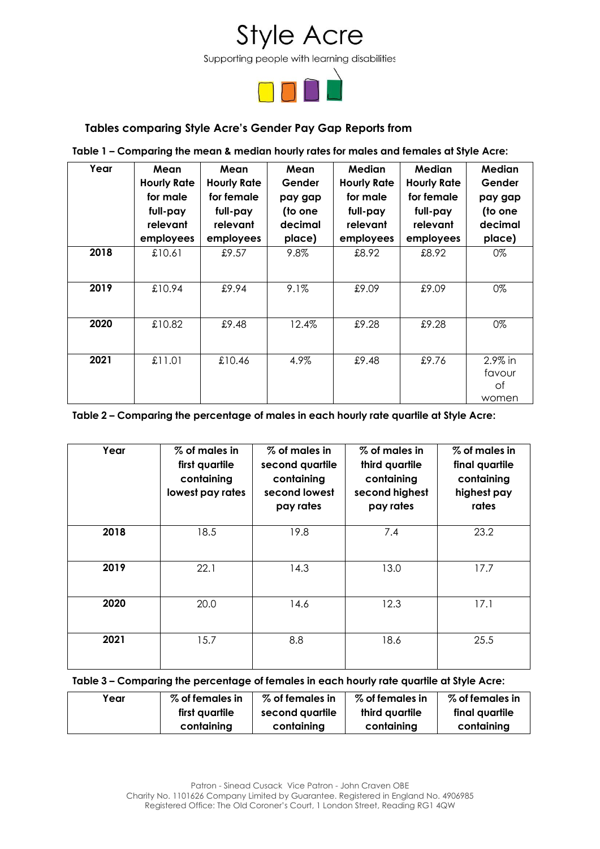

## **Tables comparing Style Acre's Gender Pay Gap Reports from**

#### **Table 1 – Comparing the mean & median hourly rates for males and females at Style Acre:**

| Year | Mean<br><b>Hourly Rate</b><br>for male<br>full-pay<br>relevant<br>employees | Mean<br><b>Hourly Rate</b><br>for female<br>full-pay<br>relevant<br>employees | Mean<br>Gender<br>pay gap<br>(to one<br>decimal<br>place) | Median<br><b>Hourly Rate</b><br>for male<br>full-pay<br>relevant<br>employees | <b>Median</b><br><b>Hourly Rate</b><br>for female<br>full-pay<br>relevant<br>employees | Median<br>Gender<br>pay gap<br>(to one<br>decimal<br>place) |
|------|-----------------------------------------------------------------------------|-------------------------------------------------------------------------------|-----------------------------------------------------------|-------------------------------------------------------------------------------|----------------------------------------------------------------------------------------|-------------------------------------------------------------|
| 2018 | £10.61                                                                      | £9.57                                                                         | 9.8%                                                      | £8.92                                                                         | £8.92                                                                                  | 0%                                                          |
| 2019 | £10.94                                                                      | £9.94                                                                         | 9.1%                                                      | £9.09                                                                         | £9.09                                                                                  | 0%                                                          |
| 2020 | £10.82                                                                      | £9.48                                                                         | 12.4%                                                     | £9.28                                                                         | £9.28                                                                                  | 0%                                                          |
| 2021 | £11.01                                                                      | £10.46                                                                        | 4.9%                                                      | £9.48                                                                         | £9.76                                                                                  | 2.9% in<br>favour<br>Оf<br>women                            |

#### **Table 2 – Comparing the percentage of males in each hourly rate quartile at Style Acre:**

| Year | % of males in<br>first quartile<br>containing<br>lowest pay rates | % of males in<br>second quartile<br>containing<br>second lowest<br>pay rates | % of males in<br>third quartile<br>containing<br>second highest<br>pay rates | % of males in<br>final quartile<br>containing<br>highest pay<br>rates |
|------|-------------------------------------------------------------------|------------------------------------------------------------------------------|------------------------------------------------------------------------------|-----------------------------------------------------------------------|
| 2018 | 18.5                                                              | 19.8                                                                         | 7.4                                                                          | 23.2                                                                  |
| 2019 | 22.1                                                              | 14.3                                                                         | 13.0                                                                         | 17.7                                                                  |
| 2020 | 20.0                                                              | 14.6                                                                         | 12.3                                                                         | 17.1                                                                  |
| 2021 | 15.7                                                              | 8.8                                                                          | 18.6                                                                         | 25.5                                                                  |

#### **Table 3 – Comparing the percentage of females in each hourly rate quartile at Style Acre:**

| Year | % of females in | % of females in | % of females in | % of females in |
|------|-----------------|-----------------|-----------------|-----------------|
|      | first quartile  | second quartile | third avartile  | final quartile  |
|      | containing      | containina      | containing      | containing      |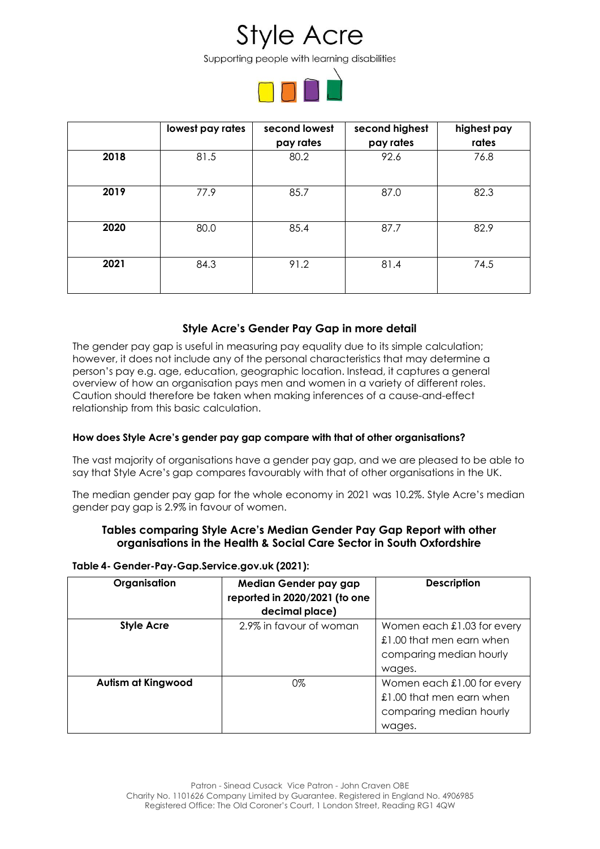Supporting people with learning disabilities



|      | lowest pay rates | second lowest<br>pay rates | second highest<br>pay rates | highest pay<br>rates |
|------|------------------|----------------------------|-----------------------------|----------------------|
| 2018 | 81.5             | 80.2                       | 92.6                        | 76.8                 |
| 2019 | 77.9             | 85.7                       | 87.0                        | 82.3                 |
| 2020 | 80.0             | 85.4                       | 87.7                        | 82.9                 |
| 2021 | 84.3             | 91.2                       | 81.4                        | 74.5                 |

## **Style Acre's Gender Pay Gap in more detail**

The gender pay gap is useful in measuring pay equality due to its simple calculation; however, it does not include any of the personal characteristics that may determine a person's pay e.g. age, education, geographic location. Instead, it captures a general overview of how an organisation pays men and women in a variety of different roles. Caution should therefore be taken when making inferences of a cause-and-effect relationship from this basic calculation.

### **How does Style Acre's gender pay gap compare with that of other organisations?**

The vast majority of organisations have a gender pay gap, and we are pleased to be able to say that Style Acre's gap compares favourably with that of other organisations in the UK.

The median gender pay gap for the whole economy in 2021 was 10.2%. Style Acre's median gender pay gap is 2.9% in favour of women.

### **Tables comparing Style Acre's Median Gender Pay Gap Report with other organisations in the Health & Social Care Sector in South Oxfordshire**

| Organisation              | Median Gender pay gap<br>reported in 2020/2021 (to one<br>decimal place) | <b>Description</b>                                                                          |
|---------------------------|--------------------------------------------------------------------------|---------------------------------------------------------------------------------------------|
| <b>Style Acre</b>         | 2.9% in favour of woman                                                  | Women each £1.03 for every<br>£1.00 that men earn when<br>comparing median hourly<br>wages. |
| <b>Autism at Kingwood</b> | 0%                                                                       | Women each £1.00 for every<br>£1.00 that men earn when<br>comparing median hourly<br>wages. |

### **Table 4- Gender-Pay-Gap.Service.gov.uk (2021):**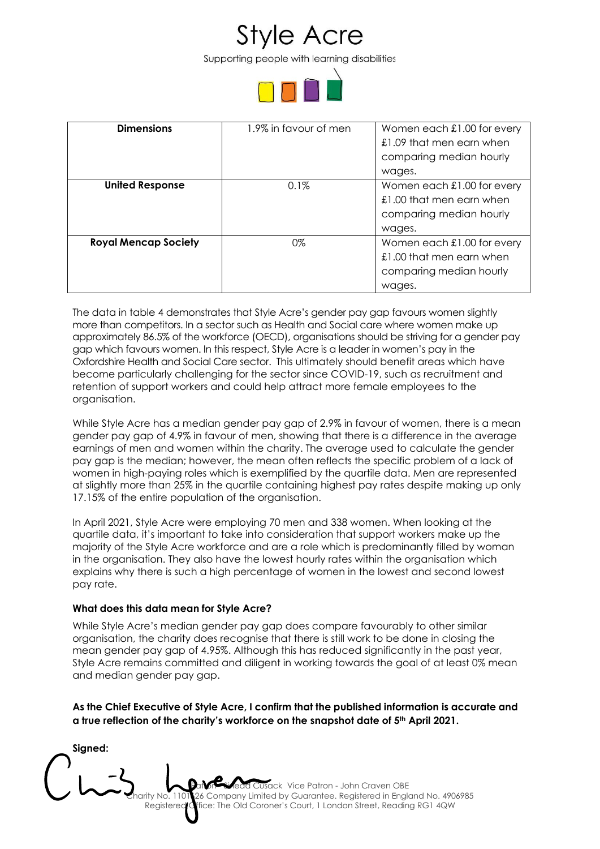Supporting people with learning disabilities



| <b>Dimensions</b>           | 1.9% in favour of men | Women each £1.00 for every<br>£1.09 that men earn when<br>comparing median hourly           |
|-----------------------------|-----------------------|---------------------------------------------------------------------------------------------|
|                             |                       | wages.                                                                                      |
| <b>United Response</b>      | 0.1%                  | Women each £1.00 for every<br>£1.00 that men earn when<br>comparing median hourly<br>wages. |
| <b>Royal Mencap Society</b> | 0%                    | Women each £1.00 for every<br>£1.00 that men earn when<br>comparing median hourly<br>wages. |

The data in table 4 demonstrates that Style Acre's gender pay gap favours women slightly more than competitors. In a sector such as Health and Social care where women make up approximately 86.5% of the workforce (OECD), organisations should be striving for a gender pay gap which favours women. In this respect, Style Acre is a leader in women's pay in the Oxfordshire Health and Social Care sector. This ultimately should benefit areas which have become particularly challenging for the sector since COVID-19, such as recruitment and retention of support workers and could help attract more female employees to the organisation.

While Style Acre has a median gender pay gap of 2.9% in favour of women, there is a mean gender pay gap of 4.9% in favour of men, showing that there is a difference in the average earnings of men and women within the charity. The average used to calculate the gender pay gap is the median; however, the mean often reflects the specific problem of a lack of women in high-paying roles which is exemplified by the quartile data. Men are represented at slightly more than 25% in the quartile containing highest pay rates despite making up only 17.15% of the entire population of the organisation.

In April 2021, Style Acre were employing 70 men and 338 women. When looking at the quartile data, it's important to take into consideration that support workers make up the majority of the Style Acre workforce and are a role which is predominantly filled by woman in the organisation. They also have the lowest hourly rates within the organisation which explains why there is such a high percentage of women in the lowest and second lowest pay rate.

### **What does this data mean for Style Acre?**

While Style Acre's median gender pay gap does compare favourably to other similar organisation, the charity does recognise that there is still work to be done in closing the mean gender pay gap of 4.95%. Although this has reduced significantly in the past year, Style Acre remains committed and diligent in working towards the goal of at least 0% mean and median gender pay gap.

**As the Chief Executive of Style Acre, I confirm that the published information is accurate and a true reflection of the charity's workforce on the snapshot date of 5th April 2021.**

bron Sinead Cusack Vice Patron - John Craven OBE 26 Company Limited by Guarantee. Registered in England No. 4906985 Registered Office: The Old Coroner's Court, 1 London Street, Reading RG1 4QW **Signed:**